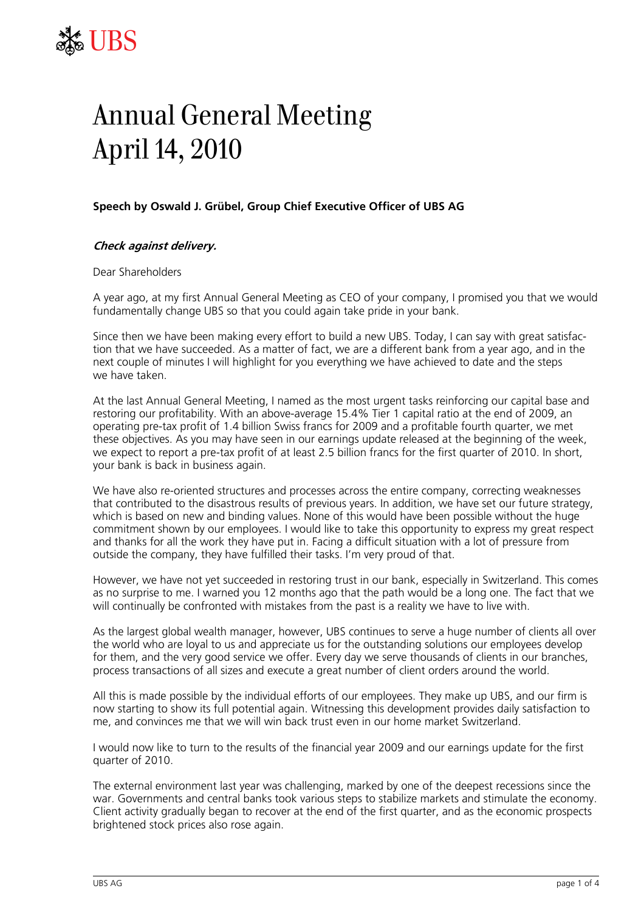

## Annual General Meeting April 14, 2010

## **Speech by Oswald J. Grübel, Group Chief Executive Officer of UBS AG**

## **Check against delivery.**

Dear Shareholders

A year ago, at my first Annual General Meeting as CEO of your company, I promised you that we would fundamentally change UBS so that you could again take pride in your bank.

Since then we have been making every effort to build a new UBS. Today, I can say with great satisfaction that we have succeeded. As a matter of fact, we are a different bank from a year ago, and in the next couple of minutes I will highlight for you everything we have achieved to date and the steps we have taken.

At the last Annual General Meeting, I named as the most urgent tasks reinforcing our capital base and restoring our profitability. With an above-average 15.4% Tier 1 capital ratio at the end of 2009, an operating pre-tax profit of 1.4 billion Swiss francs for 2009 and a profitable fourth quarter, we met these objectives. As you may have seen in our earnings update released at the beginning of the week, we expect to report a pre-tax profit of at least 2.5 billion francs for the first quarter of 2010. In short, your bank is back in business again.

We have also re-oriented structures and processes across the entire company, correcting weaknesses that contributed to the disastrous results of previous years. In addition, we have set our future strategy, which is based on new and binding values. None of this would have been possible without the huge commitment shown by our employees. I would like to take this opportunity to express my great respect and thanks for all the work they have put in. Facing a difficult situation with a lot of pressure from outside the company, they have fulfilled their tasks. I'm very proud of that.

However, we have not yet succeeded in restoring trust in our bank, especially in Switzerland. This comes as no surprise to me. I warned you 12 months ago that the path would be a long one. The fact that we will continually be confronted with mistakes from the past is a reality we have to live with.

As the largest global wealth manager, however, UBS continues to serve a huge number of clients all over the world who are loyal to us and appreciate us for the outstanding solutions our employees develop for them, and the very good service we offer. Every day we serve thousands of clients in our branches, process transactions of all sizes and execute a great number of client orders around the world.

All this is made possible by the individual efforts of our employees. They make up UBS, and our firm is now starting to show its full potential again. Witnessing this development provides daily satisfaction to me, and convinces me that we will win back trust even in our home market Switzerland.

I would now like to turn to the results of the financial year 2009 and our earnings update for the first quarter of 2010.

The external environment last year was challenging, marked by one of the deepest recessions since the war. Governments and central banks took various steps to stabilize markets and stimulate the economy. Client activity gradually began to recover at the end of the first quarter, and as the economic prospects brightened stock prices also rose again.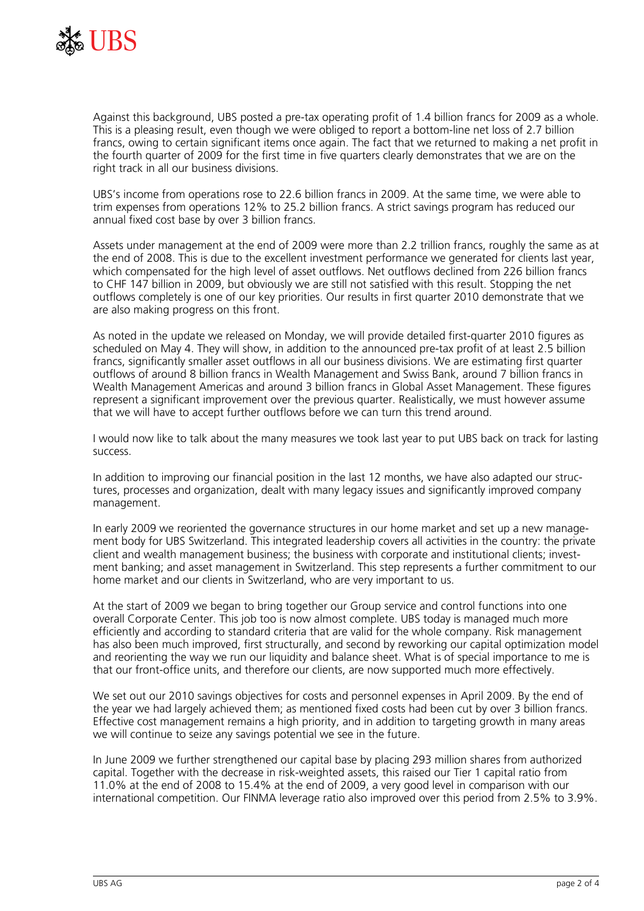

Against this background, UBS posted a pre-tax operating profit of 1.4 billion francs for 2009 as a whole. This is a pleasing result, even though we were obliged to report a bottom-line net loss of 2.7 billion francs, owing to certain significant items once again. The fact that we returned to making a net profit in the fourth quarter of 2009 for the first time in five quarters clearly demonstrates that we are on the right track in all our business divisions.

UBS's income from operations rose to 22.6 billion francs in 2009. At the same time, we were able to trim expenses from operations 12% to 25.2 billion francs. A strict savings program has reduced our annual fixed cost base by over 3 billion francs.

Assets under management at the end of 2009 were more than 2.2 trillion francs, roughly the same as at the end of 2008. This is due to the excellent investment performance we generated for clients last year, which compensated for the high level of asset outflows. Net outflows declined from 226 billion francs to CHF 147 billion in 2009, but obviously we are still not satisfied with this result. Stopping the net outflows completely is one of our key priorities. Our results in first quarter 2010 demonstrate that we are also making progress on this front.

As noted in the update we released on Monday, we will provide detailed first-quarter 2010 figures as scheduled on May 4. They will show, in addition to the announced pre-tax profit of at least 2.5 billion francs, significantly smaller asset outflows in all our business divisions. We are estimating first quarter outflows of around 8 billion francs in Wealth Management and Swiss Bank, around 7 billion francs in Wealth Management Americas and around 3 billion francs in Global Asset Management. These figures represent a significant improvement over the previous quarter. Realistically, we must however assume that we will have to accept further outflows before we can turn this trend around.

I would now like to talk about the many measures we took last year to put UBS back on track for lasting success.

In addition to improving our financial position in the last 12 months, we have also adapted our structures, processes and organization, dealt with many legacy issues and significantly improved company management.

In early 2009 we reoriented the governance structures in our home market and set up a new management body for UBS Switzerland. This integrated leadership covers all activities in the country: the private client and wealth management business; the business with corporate and institutional clients; investment banking; and asset management in Switzerland. This step represents a further commitment to our home market and our clients in Switzerland, who are very important to us.

At the start of 2009 we began to bring together our Group service and control functions into one overall Corporate Center. This job too is now almost complete. UBS today is managed much more efficiently and according to standard criteria that are valid for the whole company. Risk management has also been much improved, first structurally, and second by reworking our capital optimization model and reorienting the way we run our liquidity and balance sheet. What is of special importance to me is that our front-office units, and therefore our clients, are now supported much more effectively.

We set out our 2010 savings objectives for costs and personnel expenses in April 2009. By the end of the year we had largely achieved them; as mentioned fixed costs had been cut by over 3 billion francs. Effective cost management remains a high priority, and in addition to targeting growth in many areas we will continue to seize any savings potential we see in the future.

In June 2009 we further strengthened our capital base by placing 293 million shares from authorized capital. Together with the decrease in risk-weighted assets, this raised our Tier 1 capital ratio from 11.0% at the end of 2008 to 15.4% at the end of 2009, a very good level in comparison with our international competition. Our FINMA leverage ratio also improved over this period from 2.5% to 3.9%.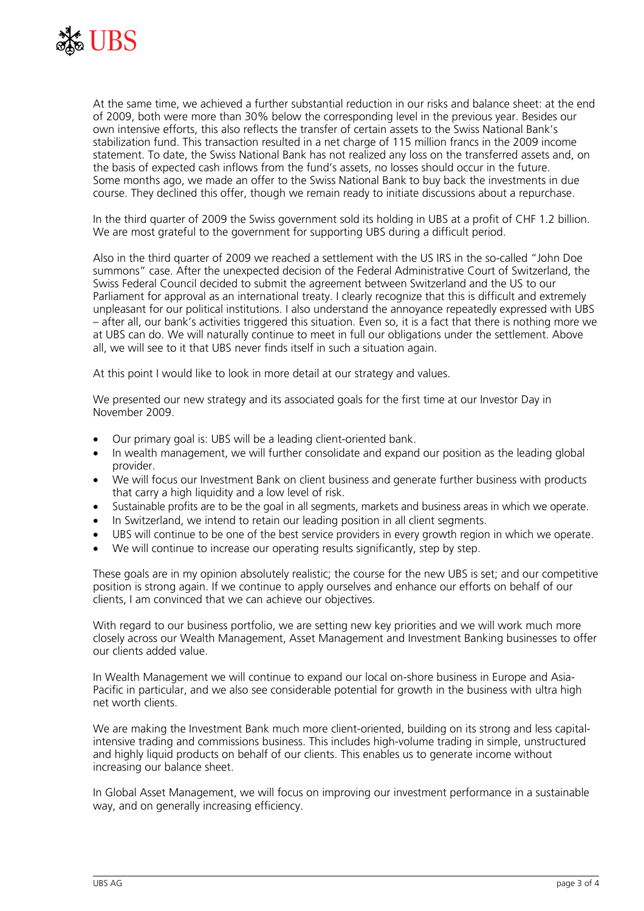

At the same time, we achieved a further substantial reduction in our risks and balance sheet: at the end of 2009, both were more than 30% below the corresponding level in the previous year. Besides our own intensive efforts, this also reflects the transfer of certain assets to the Swiss National Bank's stabilization fund. This transaction resulted in a net charge of 115 million francs in the 2009 income statement. To date, the Swiss National Bank has not realized any loss on the transferred assets and, on the basis of expected cash inflows from the fund's assets, no losses should occur in the future. Some months ago, we made an offer to the Swiss National Bank to buy back the investments in due course. They declined this offer, though we remain ready to initiate discussions about a repurchase.

In the third quarter of 2009 the Swiss government sold its holding in UBS at a profit of CHF 1.2 billion. We are most grateful to the government for supporting UBS during a difficult period.

Also in the third quarter of 2009 we reached a settlement with the US IRS in the so-called "John Doe summons" case. After the unexpected decision of the Federal Administrative Court of Switzerland, the Swiss Federal Council decided to submit the agreement between Switzerland and the US to our Parliament for approval as an international treaty. I clearly recognize that this is difficult and extremely unpleasant for our political institutions. I also understand the annoyance repeatedly expressed with UBS – after all, our bank's activities triggered this situation. Even so, it is a fact that there is nothing more we at UBS can do. We will naturally continue to meet in full our obligations under the settlement. Above all, we will see to it that UBS never finds itself in such a situation again.

At this point I would like to look in more detail at our strategy and values.

We presented our new strategy and its associated goals for the first time at our Investor Day in November 2009.

- Our primary goal is: UBS will be a leading client-oriented bank.
- In wealth management, we will further consolidate and expand our position as the leading global provider.
- We will focus our Investment Bank on client business and generate further business with products that carry a high liquidity and a low level of risk.
- Sustainable profits are to be the goal in all segments, markets and business areas in which we operate.
- In Switzerland, we intend to retain our leading position in all client segments.
- UBS will continue to be one of the best service providers in every growth region in which we operate.
- We will continue to increase our operating results significantly, step by step.

These goals are in my opinion absolutely realistic; the course for the new UBS is set; and our competitive position is strong again. If we continue to apply ourselves and enhance our efforts on behalf of our clients, I am convinced that we can achieve our objectives.

With regard to our business portfolio, we are setting new key priorities and we will work much more closely across our Wealth Management, Asset Management and Investment Banking businesses to offer our clients added value.

In Wealth Management we will continue to expand our local on-shore business in Europe and Asia-Pacific in particular, and we also see considerable potential for growth in the business with ultra high net worth clients.

We are making the Investment Bank much more client-oriented, building on its strong and less capitalintensive trading and commissions business. This includes high-volume trading in simple, unstructured and highly liquid products on behalf of our clients. This enables us to generate income without increasing our balance sheet.

In Global Asset Management, we will focus on improving our investment performance in a sustainable way, and on generally increasing efficiency.